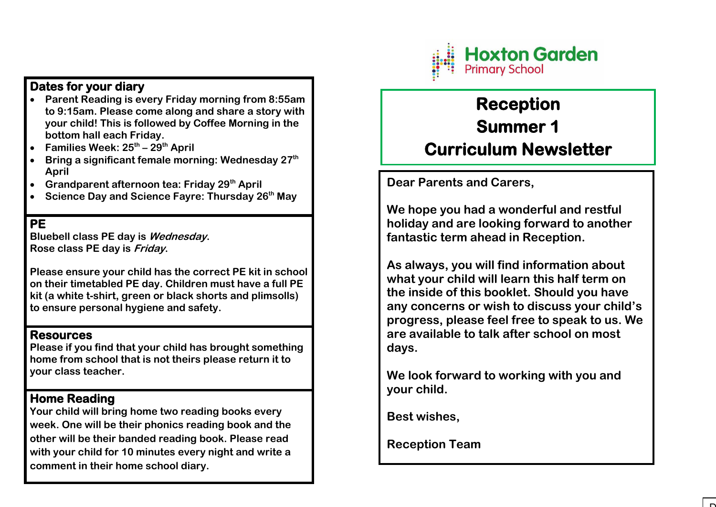

## **Dates for your diary**

- **Parent Reading is every Friday morning from 8:55am to 9:15am. Please come along and share a story with your child! This is followed by Coffee Morning in the bottom hall each Friday.**
- **Families Week: 25th – 29th April**
- **Bring a significant female morning: Wednesday 27th April**
- **Grandparent afternoon tea: Friday 29th April**
- **Science Day and Science Fayre: Thursday 26th May**

**PE** 

**Bluebell class PE day is Wednesday. Rose class PE day is Friday.** 

**Please ensure your child has the correct PE kit in school on their timetabled PE day. Children must have a full PE kit (a white t-shirt, green or black shorts and plimsolls) to ensure personal hygiene and safety.** 

### **Resources**

**Please if you find that your child has brought something home from school that is not theirs please return it to your class teacher.** 

## **Home Reading**

**Your child will bring home two reading books every week. One will be their phonics reading book and the other will be their banded reading book. Please read with your child for 10 minutes every night and write a comment in their home school diary.** 

# **Reception Summer 1 Curriculum Newsletter**

**Dear Parents and Carers,** 

**We hope you had a wonderful and restful holiday and are looking forward to another fantastic term ahead in Reception.** 

**As always, you will find information about what your child will learn this half term on the inside of this booklet. Should you have any concerns or wish to discuss your child's progress, please feel free to speak to us. We are available to talk after school on most days.** 

**We look forward to working with you and your child.** 

**Best wishes,** 

**Reception Team**